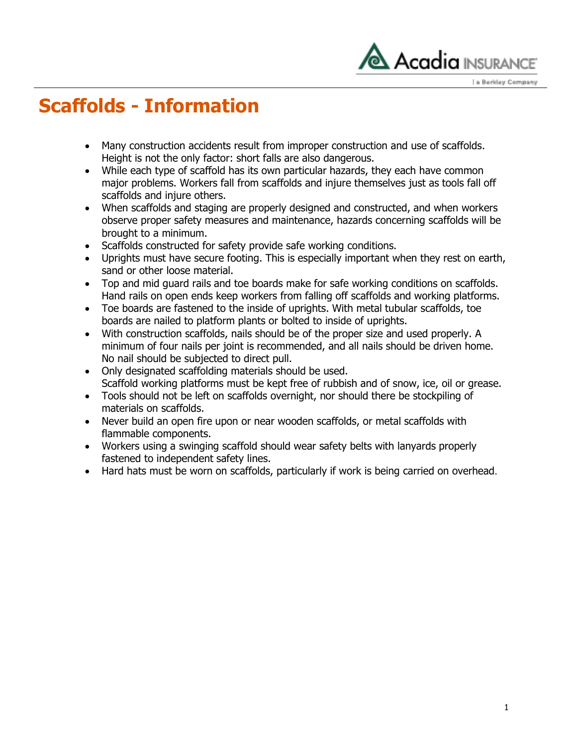

a Berkley Company

## **Scaffolds - Information**

- Many construction accidents result from improper construction and use of scaffolds. Height is not the only factor: short falls are also dangerous.
- While each type of scaffold has its own particular hazards, they each have common major problems. Workers fall from scaffolds and injure themselves just as tools fall off scaffolds and injure others.
- When scaffolds and staging are properly designed and constructed, and when workers observe proper safety measures and maintenance, hazards concerning scaffolds will be brought to a minimum.
- Scaffolds constructed for safety provide safe working conditions.
- Uprights must have secure footing. This is especially important when they rest on earth, sand or other loose material.
- Top and mid guard rails and toe boards make for safe working conditions on scaffolds. Hand rails on open ends keep workers from falling off scaffolds and working platforms.
- Toe boards are fastened to the inside of uprights. With metal tubular scaffolds, toe boards are nailed to platform plants or bolted to inside of uprights.
- With construction scaffolds, nails should be of the proper size and used properly. A minimum of four nails per joint is recommended, and all nails should be driven home. No nail should be subjected to direct pull.
- Only designated scaffolding materials should be used. Scaffold working platforms must be kept free of rubbish and of snow, ice, oil or grease.
- Tools should not be left on scaffolds overnight, nor should there be stockpiling of materials on scaffolds.
- Never build an open fire upon or near wooden scaffolds, or metal scaffolds with flammable components.
- Workers using a swinging scaffold should wear safety belts with lanyards properly fastened to independent safety lines.
- Hard hats must be worn on scaffolds, particularly if work is being carried on overhead.